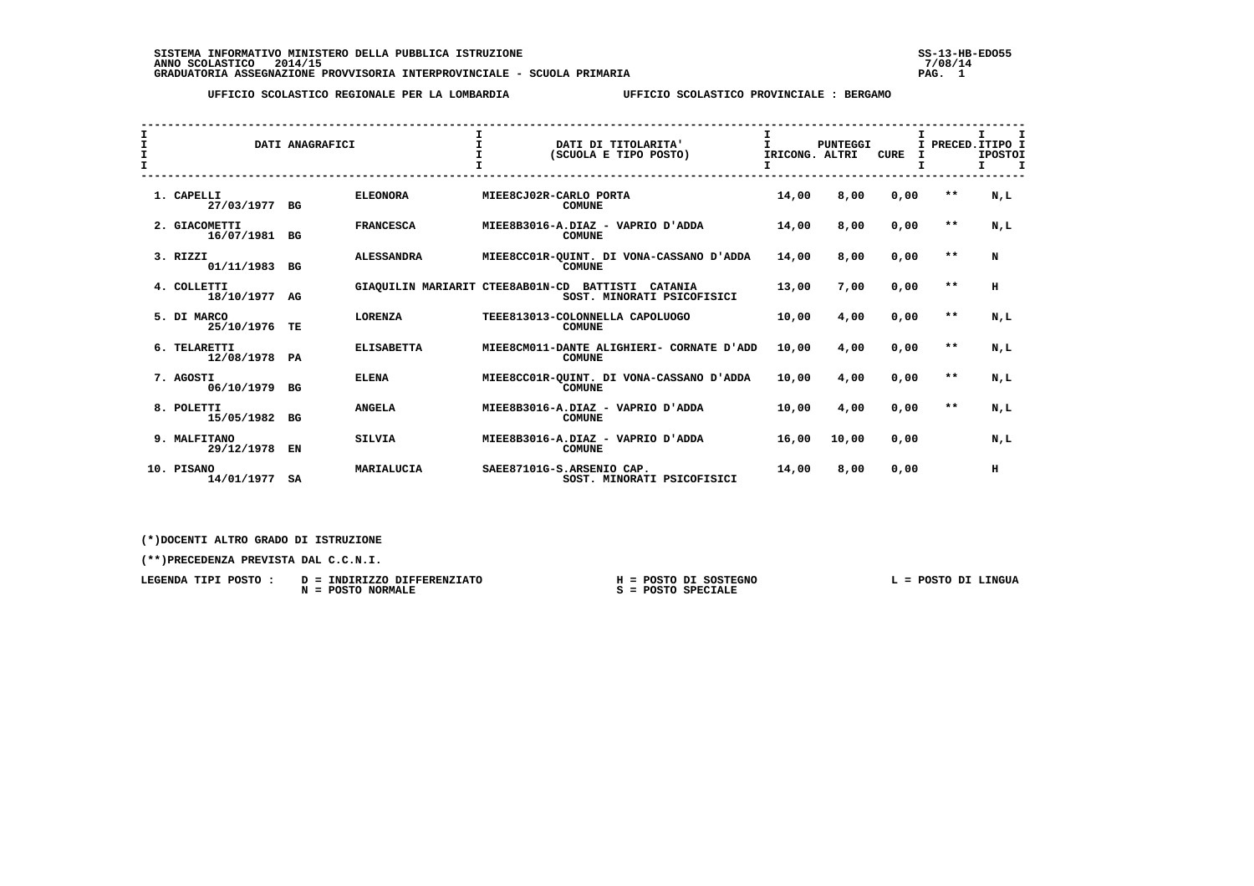SISTEMA INFORMATIVO MINISTERO DELLA PUBBLICA ISTRUZIONE<br>ANNO SCOLASTICO 2014/15<br>GRADUATORIA ASSEGNAZIONE PROVVISORIA INTERPROVINCIALE - SCUOLA PRIMARIA 1999 - PROVISORIA INTERPROVISORIA INTER

 **UFFICIO SCOLASTICO REGIONALE PER LA LOMBARDIA UFFICIO SCOLASTICO PROVINCIALE : BERGAMO**

| I<br>I<br>$\mathbf{I}$ |  |                             | DATI ANAGRAFICI |                                  | $\mathbf{I}$ | DATI DI TITOLARITA'<br>(SCUOLA E TIPO POSTO)               | T.<br>IRICONG. ALTRI | <b>PUNTEGGI</b> | <b>CURE</b> |       | $\mathbf I$<br>I PRECED. ITIPO I<br><b>IPOSTOI</b><br>$\mathbf I$<br>т. |
|------------------------|--|-----------------------------|-----------------|----------------------------------|--------------|------------------------------------------------------------|----------------------|-----------------|-------------|-------|-------------------------------------------------------------------------|
|                        |  | 1. CAPELLI<br>27/03/1977    | BG              | <b>ELEONORA</b>                  |              | MIEE8CJ02R-CARLO PORTA<br><b>COMUNE</b>                    | 14,00                | 8,00            | 0,00        | $* *$ | N,L                                                                     |
|                        |  | 2. GIACOMETTI<br>16/07/1981 | BG              | <b>FRANCESCA</b>                 |              | MIEE8B3016-A.DIAZ - VAPRIO D'ADDA<br><b>COMUNE</b>         | 14,00                | 8,00            | 0,00        | $* *$ | N,L                                                                     |
|                        |  | 3. RIZZI<br>01/11/1983      | BG              | <b>ALESSANDRA</b>                |              | MIEE8CC01R-OUINT. DI VONA-CASSANO D'ADDA<br><b>COMUNE</b>  | 14,00                | 8,00            | 0,00        | $* *$ | N                                                                       |
|                        |  | 4. COLLETTI<br>18/10/1977   | AG              | GIAOUILIN MARIARIT CTEE8AB01N-CD |              | BATTISTI<br>CATANIA<br>SOST. MINORATI PSICOFISICI          | 13,00                | 7,00            | 0,00        | $* *$ | H                                                                       |
|                        |  | 5. DI MARCO<br>25/10/1976   | TE              | <b>LORENZA</b>                   |              | TEEE813013-COLONNELLA CAPOLUOGO<br><b>COMUNE</b>           | 10,00                | 4,00            | 0,00        | $* *$ | N.L                                                                     |
|                        |  | 6. TELARETTI<br>12/08/1978  | PA              | <b>ELISABETTA</b>                |              | MIEE8CM011-DANTE ALIGHIERI- CORNATE D'ADD<br><b>COMUNE</b> | 10,00                | 4,00            | 0,00        | $* *$ | N,L                                                                     |
|                        |  | 7. AGOSTI<br>06/10/1979     | BG              | <b>ELENA</b>                     |              | MIEE8CC01R-OUINT. DI VONA-CASSANO D'ADDA<br><b>COMUNE</b>  | 10,00                | 4,00            | 0,00        | $* *$ | N,L                                                                     |
|                        |  | 8. POLETTI<br>15/05/1982    | BG              | <b>ANGELA</b>                    |              | MIEE8B3016-A.DIAZ - VAPRIO D'ADDA<br><b>COMUNE</b>         | 10,00                | 4,00            | 0,00        | $* *$ | N,L                                                                     |
|                        |  | 9. MALFITANO<br>29/12/1978  | EN              | <b>SILVIA</b>                    |              | MIEE8B3016-A.DIAZ - VAPRIO D'ADDA<br><b>COMUNE</b>         | 16,00                | 10,00           | 0,00        |       | N,L                                                                     |
|                        |  | 10. PISANO<br>14/01/1977    | SA              | MARIALUCIA                       |              | SAEE87101G-S.ARSENIO CAP.<br>SOST. MINORATI PSICOFISICI    | 14,00                | 8,00            | 0,00        |       | н                                                                       |

 **(\*)DOCENTI ALTRO GRADO DI ISTRUZIONE**

 **(\*\*)PRECEDENZA PREVISTA DAL C.C.N.I.**

| LEGENDA TIPI POSTO : | D = INDIRIZZO DIFFERENZIATO   | H = POSTO DI SOSTEGNO | POSTO DI LINGUA |
|----------------------|-------------------------------|-----------------------|-----------------|
|                      | <b>POSTO NORMALE</b><br>$N =$ | $S = POSTO SPECIALE$  |                 |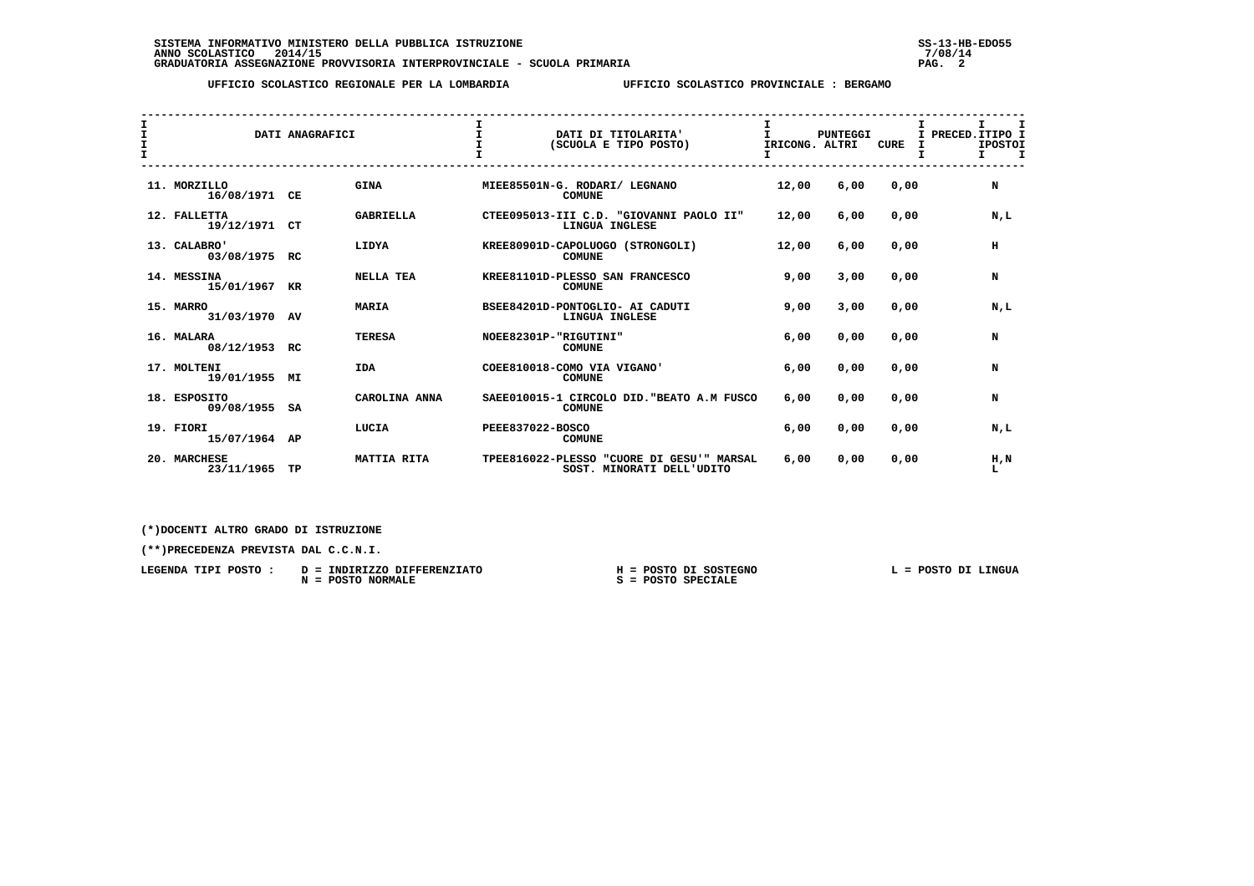## **UFFICIO SCOLASTICO REGIONALE PER LA LOMBARDIA UFFICIO SCOLASTICO PROVINCIALE : BERGAMO**

| I<br>$\mathbf{I}$<br>$\mathbf{r}$ |                               | DATI ANAGRAFICI |                  |                  | DATI DI TITOLARITA'<br>(SCUOLA E TIPO POSTO)                           | I.<br>IRICONG. ALTRI | <b>PUNTEGGI</b> | CURE | I.<br>т<br>I PRECED. ITIPO I<br><b>IPOSTOI</b><br>$\mathbf{I}$<br>$\mathbf{I}$ |
|-----------------------------------|-------------------------------|-----------------|------------------|------------------|------------------------------------------------------------------------|----------------------|-----------------|------|--------------------------------------------------------------------------------|
|                                   | 11. MORZILLO<br>16/08/1971 CE |                 | <b>GINA</b>      |                  | MIEE85501N-G. RODARI/ LEGNANO<br><b>COMUNE</b>                         | 12,00                | 6,00            | 0,00 | N                                                                              |
|                                   | 12. FALLETTA<br>19/12/1971 CT |                 | <b>GABRIELLA</b> |                  | CTEE095013-III C.D. "GIOVANNI PAOLO II"<br>LINGUA INGLESE              | 12,00                | 6,00            | 0,00 | N,L                                                                            |
|                                   | 13. CALABRO'<br>03/08/1975 RC |                 | LIDYA            |                  | KREE80901D-CAPOLUOGO (STRONGOLI)<br><b>COMUNE</b>                      | 12,00                | 6,00            | 0,00 | н                                                                              |
|                                   | 14. MESSINA<br>15/01/1967 KR  |                 | <b>NELLA TEA</b> |                  | KREE81101D-PLESSO SAN FRANCESCO<br><b>COMUNE</b>                       | 9,00                 | 3,00            | 0.00 | N                                                                              |
|                                   | 15. MARRO<br>31/03/1970 AV    |                 | <b>MARIA</b>     |                  | BSEE84201D-PONTOGLIO- AI CADUTI<br>LINGUA INGLESE                      | 9,00                 | 3,00            | 0,00 | N.L                                                                            |
|                                   | 16. MALARA<br>08/12/1953 RC   |                 | <b>TERESA</b>    |                  | NOEE82301P-"RIGUTINI"<br><b>COMUNE</b>                                 | 6,00                 | 0,00            | 0,00 | N                                                                              |
|                                   | 17. MOLTENI<br>19/01/1955 MI  |                 | <b>IDA</b>       |                  | COEE810018-COMO VIA VIGANO'<br><b>COMUNE</b>                           | 6,00                 | 0,00            | 0,00 | N                                                                              |
|                                   | 18. ESPOSITO<br>09/08/1955 SA |                 | CAROLINA ANNA    |                  | SAEE010015-1 CIRCOLO DID. "BEATO A.M FUSCO<br><b>COMUNE</b>            | 6,00                 | 0,00            | 0,00 | N                                                                              |
|                                   | 19. FIORI<br>15/07/1964 AP    |                 | LUCIA            | PEEE837022-BOSCO | <b>COMUNE</b>                                                          | 6,00                 | 0,00            | 0,00 | N,L                                                                            |
|                                   | 20. MARCHESE<br>23/11/1965    | TP              | MATTIA RITA      |                  | TPEE816022-PLESSO "CUORE DI GESU'" MARSAL<br>SOST. MINORATI DELL'UDITO | 6,00                 | 0.00            | 0,00 | H,N<br>L                                                                       |

 **(\*)DOCENTI ALTRO GRADO DI ISTRUZIONE**

 **(\*\*)PRECEDENZA PREVISTA DAL C.C.N.I.**

| LEGENDA TIPI POSTO | INDIRIZZO DIFFERENZIATO<br>$D =$ | POSTO DI SOSTEGNO        | POSTO DI LINGUA |
|--------------------|----------------------------------|--------------------------|-----------------|
|                    | POSTO NORMALE<br>$N =$           | <b>SPECIALE</b><br>POSTO |                 |